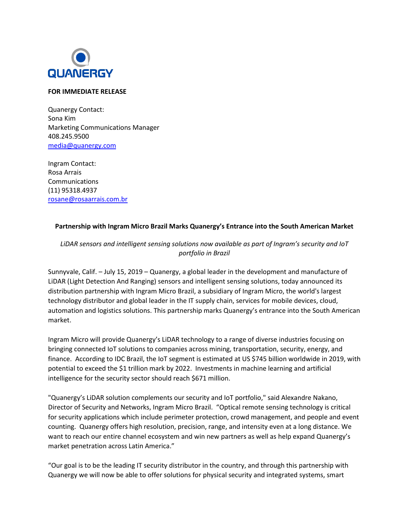

## **FOR IMMEDIATE RELEASE**

Quanergy Contact: Sona Kim Marketing Communications Manager 408.245.9500 [media@quanergy.com](mailto:media@quanergy.com)

Ingram Contact: Rosa Arrais Communications (11) 95318.4937 [rosane@rosaarrais.com.br](mailto:rosane@rosaarrais.com.br)

## **Partnership with Ingram Micro Brazil Marks Quanergy's Entrance into the South American Market**

*LiDAR sensors and intelligent sensing solutions now available as part of Ingram's security and IoT portfolio in Brazil* 

Sunnyvale, Calif. – July 15, 2019 – Quanergy, a global leader in the development and manufacture of LiDAR (Light Detection And Ranging) sensors and intelligent sensing solutions, today announced its distribution partnership with Ingram Micro Brazil, a subsidiary of Ingram Micro, the world's largest technology distributor and global leader in the IT supply chain, services for mobile devices, cloud, automation and logistics solutions. This partnership marks Quanergy's entrance into the South American market.

Ingram Micro will provide Quanergy's LiDAR technology to a range of diverse industries focusing on bringing connected IoT solutions to companies across mining, transportation, security, energy, and finance. According to IDC Brazil, the IoT segment is estimated at US \$745 billion worldwide in 2019, with potential to exceed the \$1 trillion mark by 2022. Investments in machine learning and artificial intelligence for the security sector should reach \$671 million.

"Quanergy's LiDAR solution complements our security and IoT portfolio," said Alexandre Nakano, Director of Security and Networks, Ingram Micro Brazil. "Optical remote sensing technology is critical for security applications which include perimeter protection, crowd management, and people and event counting. Quanergy offers high resolution, precision, range, and intensity even at a long distance. We want to reach our entire channel ecosystem and win new partners as well as help expand Quanergy's market penetration across Latin America."

"Our goal is to be the leading IT security distributor in the country, and through this partnership with Quanergy we will now be able to offer solutions for physical security and integrated systems, smart